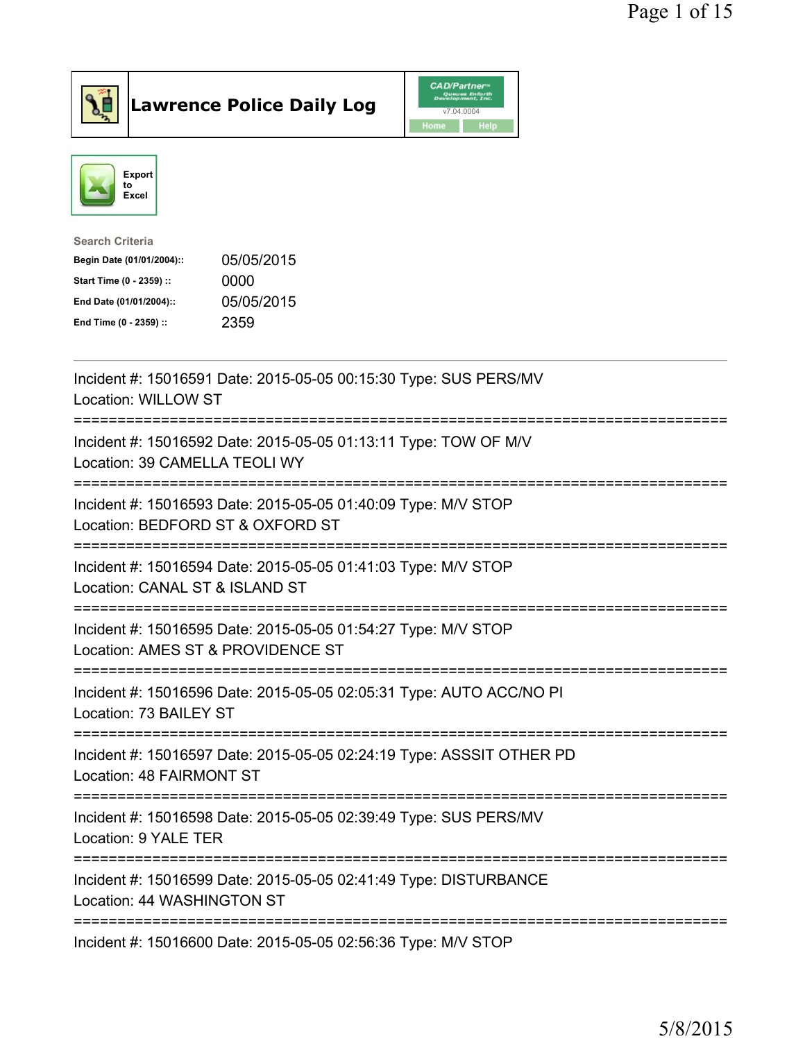

Lawrence Police Daily Log CAD/Partners



| <b>Search Criteria</b>    |            |
|---------------------------|------------|
| Begin Date (01/01/2004):: | 05/05/2015 |
| Start Time (0 - 2359) ::  | 0000       |
| End Date (01/01/2004)::   | 05/05/2015 |
| End Time (0 - 2359) ::    | 2359       |
|                           |            |

| Incident #: 15016591 Date: 2015-05-05 00:15:30 Type: SUS PERS/MV<br>Location: WILLOW ST<br>.__________                                      |
|---------------------------------------------------------------------------------------------------------------------------------------------|
| Incident #: 15016592 Date: 2015-05-05 01:13:11 Type: TOW OF M/V<br>Location: 39 CAMELLA TEOLI WY                                            |
| Incident #: 15016593 Date: 2015-05-05 01:40:09 Type: M/V STOP<br>Location: BEDFORD ST & OXFORD ST                                           |
| Incident #: 15016594 Date: 2015-05-05 01:41:03 Type: M/V STOP<br>Location: CANAL ST & ISLAND ST<br>--------------                           |
| Incident #: 15016595 Date: 2015-05-05 01:54:27 Type: M/V STOP<br>Location: AMES ST & PROVIDENCE ST<br>-----------<br>---------------------- |
| Incident #: 15016596 Date: 2015-05-05 02:05:31 Type: AUTO ACC/NO PI<br>Location: 73 BAILEY ST                                               |
| Incident #: 15016597 Date: 2015-05-05 02:24:19 Type: ASSSIT OTHER PD<br>Location: 48 FAIRMONT ST                                            |
| Incident #: 15016598 Date: 2015-05-05 02:39:49 Type: SUS PERS/MV<br>Location: 9 YALE TER                                                    |
| Incident #: 15016599 Date: 2015-05-05 02:41:49 Type: DISTURBANCE<br>Location: 44 WASHINGTON ST                                              |
| Incident #: 15016600 Date: 2015-05-05 02:56:36 Type: M/V STOP                                                                               |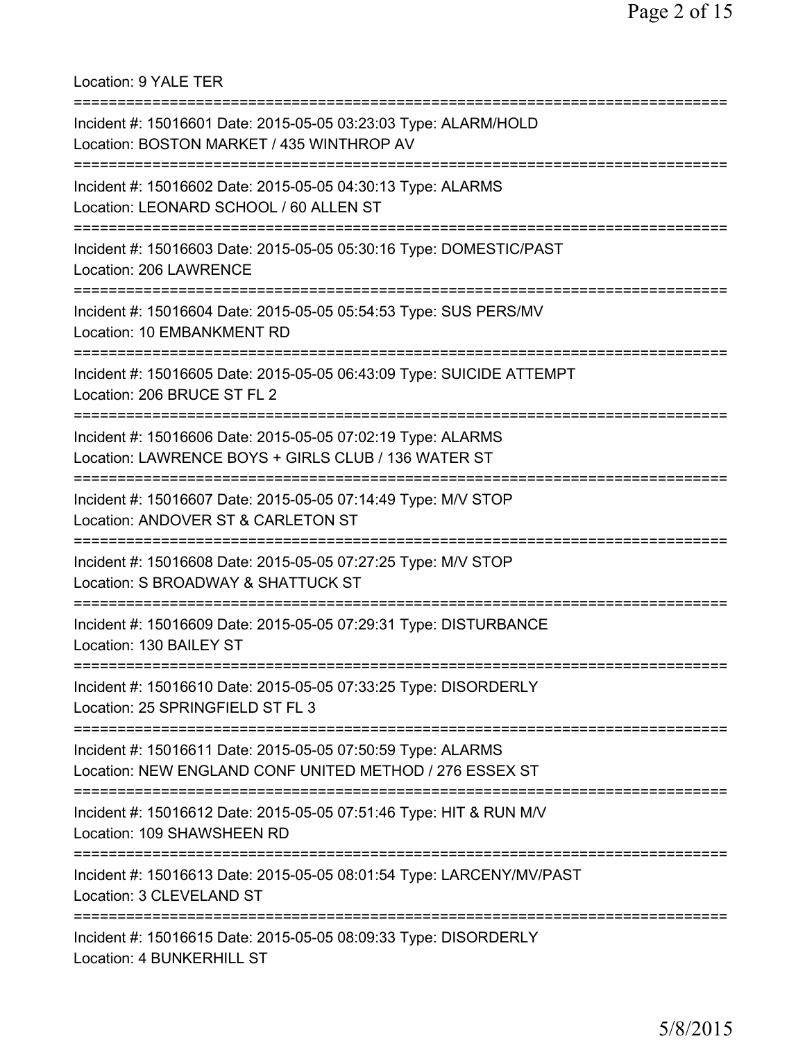Location: 9 YALE TER ============================== Incident #: 15016601 Date: 2015-05-05 03:23:03 Type: ALARM/HOLD Location: BOSTON MARKET / 435 WINTHROP AV =========================================================================== Incident #: 15016602 Date: 2015-05-05 04:30:13 Type: ALARMS Location: LEONARD SCHOOL / 60 ALLEN ST =========================================================================== Incident #: 15016603 Date: 2015-05-05 05:30:16 Type: DOMESTIC/PAST Location: 206 LAWRENCE =========================================================================== Incident #: 15016604 Date: 2015-05-05 05:54:53 Type: SUS PERS/MV Location: 10 EMBANKMENT RD =========================================================================== Incident #: 15016605 Date: 2015-05-05 06:43:09 Type: SUICIDE ATTEMPT Location: 206 BRUCE ST FL 2 =========================================================================== Incident #: 15016606 Date: 2015-05-05 07:02:19 Type: ALARMS Location: LAWRENCE BOYS + GIRLS CLUB / 136 WATER ST =========================================================================== Incident #: 15016607 Date: 2015-05-05 07:14:49 Type: M/V STOP Location: ANDOVER ST & CARLETON ST =========================================================================== Incident #: 15016608 Date: 2015-05-05 07:27:25 Type: M/V STOP Location: S BROADWAY & SHATTUCK ST =========================================================================== Incident #: 15016609 Date: 2015-05-05 07:29:31 Type: DISTURBANCE Location: 130 BAILEY ST =========================================================================== Incident #: 15016610 Date: 2015-05-05 07:33:25 Type: DISORDERLY Location: 25 SPRINGFIELD ST FL 3 ============================== Incident #: 15016611 Date: 2015-05-05 07:50:59 Type: ALARMS Location: NEW ENGLAND CONF UNITED METHOD / 276 ESSEX ST =========================================================================== Incident #: 15016612 Date: 2015-05-05 07:51:46 Type: HIT & RUN M/V Location: 109 SHAWSHEEN RD =========================================================================== Incident #: 15016613 Date: 2015-05-05 08:01:54 Type: LARCENY/MV/PAST Location: 3 CLEVELAND ST =========================================================================== Incident #: 15016615 Date: 2015-05-05 08:09:33 Type: DISORDERLY Location: 4 BUNKERHILL ST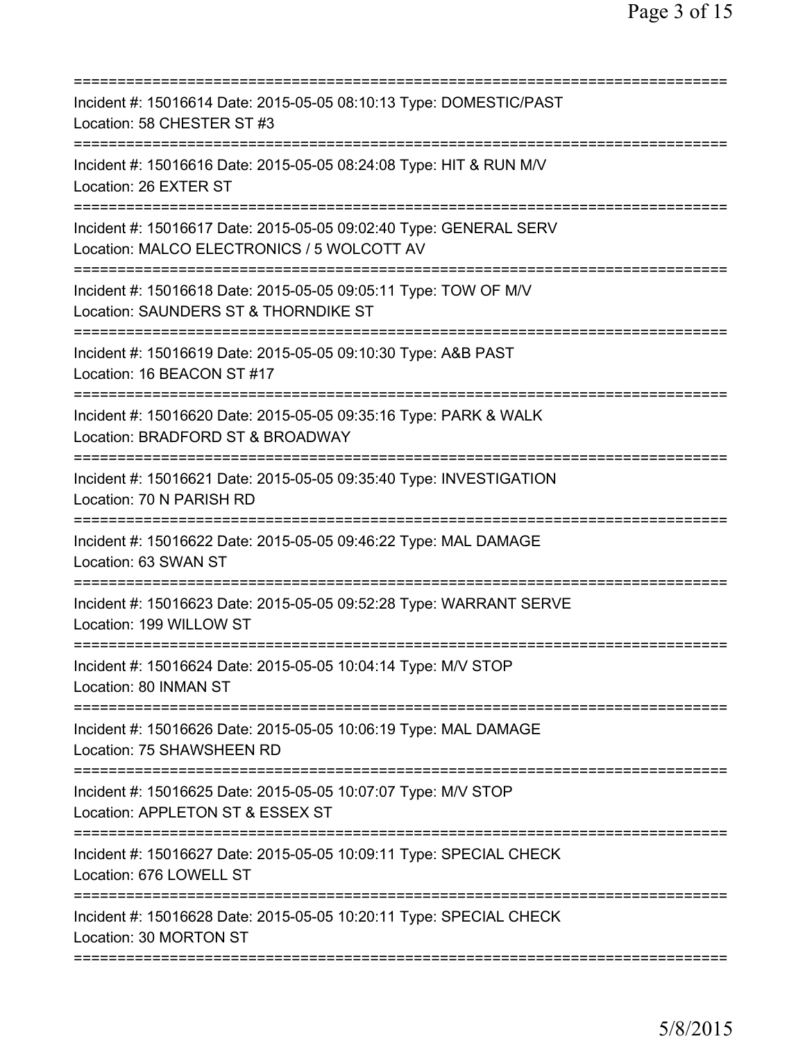| Incident #: 15016614 Date: 2015-05-05 08:10:13 Type: DOMESTIC/PAST<br>Location: 58 CHESTER ST #3                                       |
|----------------------------------------------------------------------------------------------------------------------------------------|
| Incident #: 15016616 Date: 2015-05-05 08:24:08 Type: HIT & RUN M/V<br>Location: 26 EXTER ST                                            |
| Incident #: 15016617 Date: 2015-05-05 09:02:40 Type: GENERAL SERV<br>Location: MALCO ELECTRONICS / 5 WOLCOTT AV                        |
| Incident #: 15016618 Date: 2015-05-05 09:05:11 Type: TOW OF M/V<br>Location: SAUNDERS ST & THORNDIKE ST<br>=========================== |
| Incident #: 15016619 Date: 2015-05-05 09:10:30 Type: A&B PAST<br>Location: 16 BEACON ST #17                                            |
| Incident #: 15016620 Date: 2015-05-05 09:35:16 Type: PARK & WALK<br>Location: BRADFORD ST & BROADWAY                                   |
| Incident #: 15016621 Date: 2015-05-05 09:35:40 Type: INVESTIGATION<br>Location: 70 N PARISH RD                                         |
| Incident #: 15016622 Date: 2015-05-05 09:46:22 Type: MAL DAMAGE<br>Location: 63 SWAN ST                                                |
| Incident #: 15016623 Date: 2015-05-05 09:52:28 Type: WARRANT SERVE<br>Location: 199 WILLOW ST                                          |
| Incident #: 15016624 Date: 2015-05-05 10:04:14 Type: M/V STOP<br>Location: 80 INMAN ST                                                 |
| Incident #: 15016626 Date: 2015-05-05 10:06:19 Type: MAL DAMAGE<br>Location: 75 SHAWSHEEN RD                                           |
| Incident #: 15016625 Date: 2015-05-05 10:07:07 Type: M/V STOP<br>Location: APPLETON ST & ESSEX ST                                      |
| Incident #: 15016627 Date: 2015-05-05 10:09:11 Type: SPECIAL CHECK<br>Location: 676 LOWELL ST                                          |
| Incident #: 15016628 Date: 2015-05-05 10:20:11 Type: SPECIAL CHECK<br>Location: 30 MORTON ST                                           |
|                                                                                                                                        |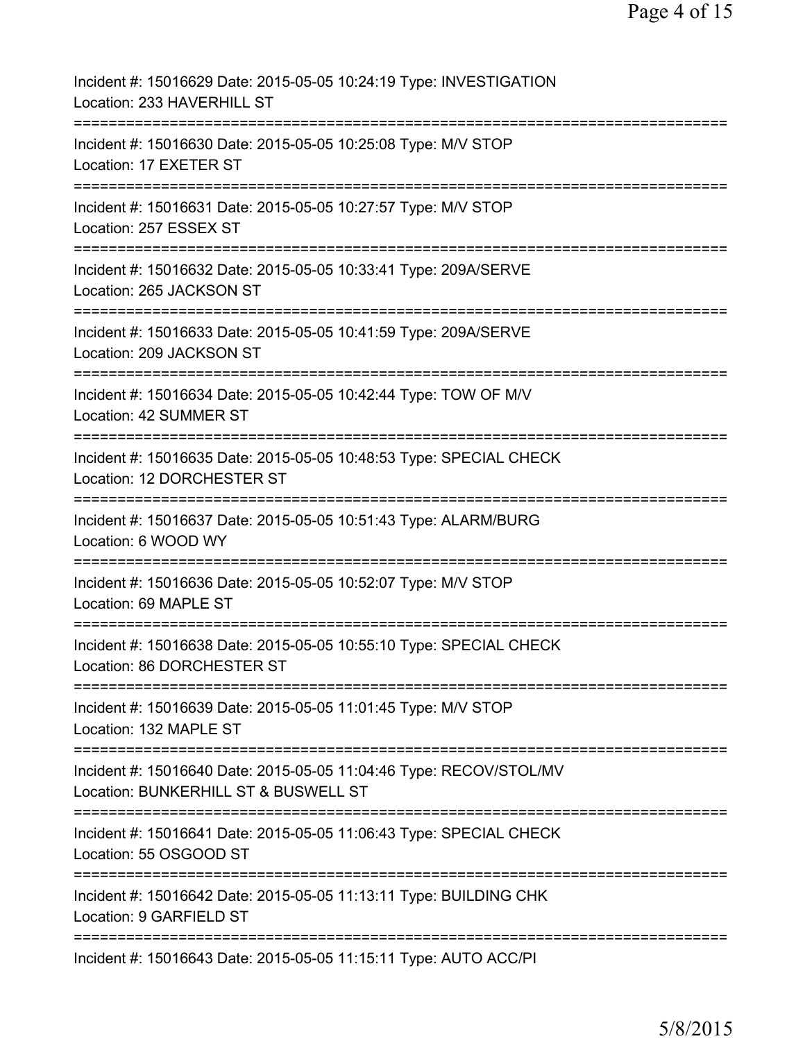| Incident #: 15016629 Date: 2015-05-05 10:24:19 Type: INVESTIGATION<br>Location: 233 HAVERHILL ST                      |
|-----------------------------------------------------------------------------------------------------------------------|
| Incident #: 15016630 Date: 2015-05-05 10:25:08 Type: M/V STOP<br>Location: 17 EXETER ST                               |
| Incident #: 15016631 Date: 2015-05-05 10:27:57 Type: M/V STOP<br>Location: 257 ESSEX ST                               |
| Incident #: 15016632 Date: 2015-05-05 10:33:41 Type: 209A/SERVE<br>Location: 265 JACKSON ST                           |
| Incident #: 15016633 Date: 2015-05-05 10:41:59 Type: 209A/SERVE<br>Location: 209 JACKSON ST                           |
| Incident #: 15016634 Date: 2015-05-05 10:42:44 Type: TOW OF M/V<br>Location: 42 SUMMER ST                             |
| Incident #: 15016635 Date: 2015-05-05 10:48:53 Type: SPECIAL CHECK<br>Location: 12 DORCHESTER ST                      |
| Incident #: 15016637 Date: 2015-05-05 10:51:43 Type: ALARM/BURG<br>Location: 6 WOOD WY                                |
| =====================<br>Incident #: 15016636 Date: 2015-05-05 10:52:07 Type: M/V STOP<br>Location: 69 MAPLE ST       |
| =================<br>Incident #: 15016638 Date: 2015-05-05 10:55:10 Type: SPECIAL CHECK<br>Location: 86 DORCHESTER ST |
| Incident #: 15016639 Date: 2015-05-05 11:01:45 Type: M/V STOP<br>Location: 132 MAPLE ST                               |
| Incident #: 15016640 Date: 2015-05-05 11:04:46 Type: RECOV/STOL/MV<br>Location: BUNKERHILL ST & BUSWELL ST            |
| Incident #: 15016641 Date: 2015-05-05 11:06:43 Type: SPECIAL CHECK<br>Location: 55 OSGOOD ST                          |
| Incident #: 15016642 Date: 2015-05-05 11:13:11 Type: BUILDING CHK<br>Location: 9 GARFIELD ST                          |
| Incident #: 15016643 Date: 2015-05-05 11:15:11 Type: AUTO ACC/PI                                                      |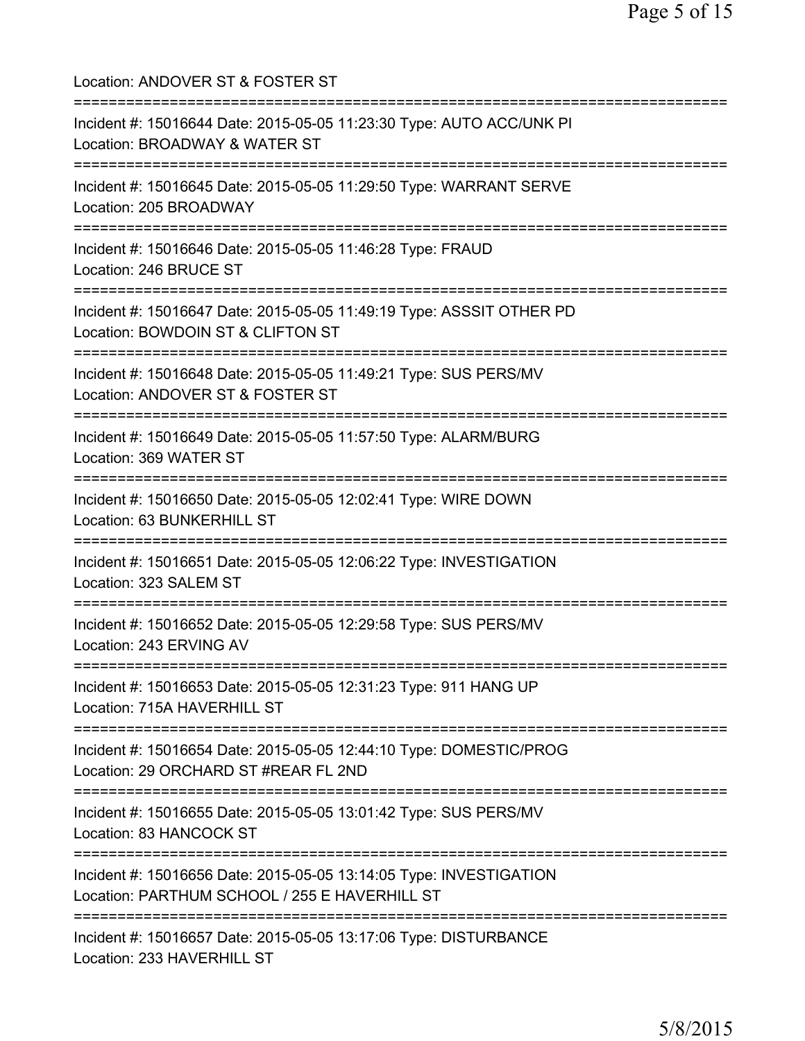Location: ANDOVER ST & FOSTER ST =========================================================================== Incident #: 15016644 Date: 2015-05-05 11:23:30 Type: AUTO ACC/UNK PI Location: BROADWAY & WATER ST =========================================================================== Incident #: 15016645 Date: 2015-05-05 11:29:50 Type: WARRANT SERVE Location: 205 BROADWAY =========================================================================== Incident #: 15016646 Date: 2015-05-05 11:46:28 Type: FRAUD Location: 246 BRUCE ST =========================================================================== Incident #: 15016647 Date: 2015-05-05 11:49:19 Type: ASSSIT OTHER PD Location: BOWDOIN ST & CLIFTON ST =========================================================================== Incident #: 15016648 Date: 2015-05-05 11:49:21 Type: SUS PERS/MV Location: ANDOVER ST & FOSTER ST =========================================================================== Incident #: 15016649 Date: 2015-05-05 11:57:50 Type: ALARM/BURG Location: 369 WATER ST =========================================================================== Incident #: 15016650 Date: 2015-05-05 12:02:41 Type: WIRE DOWN Location: 63 BUNKERHILL ST =========================================================================== Incident #: 15016651 Date: 2015-05-05 12:06:22 Type: INVESTIGATION Location: 323 SALEM ST =========================================================================== Incident #: 15016652 Date: 2015-05-05 12:29:58 Type: SUS PERS/MV Location: 243 ERVING AV =========================================================================== Incident #: 15016653 Date: 2015-05-05 12:31:23 Type: 911 HANG UP Location: 715A HAVERHILL ST =========================================================================== Incident #: 15016654 Date: 2015-05-05 12:44:10 Type: DOMESTIC/PROG Location: 29 ORCHARD ST #REAR FL 2ND =========================================================================== Incident #: 15016655 Date: 2015-05-05 13:01:42 Type: SUS PERS/MV Location: 83 HANCOCK ST =========================================================================== Incident #: 15016656 Date: 2015-05-05 13:14:05 Type: INVESTIGATION Location: PARTHUM SCHOOL / 255 E HAVERHILL ST =========================================================================== Incident #: 15016657 Date: 2015-05-05 13:17:06 Type: DISTURBANCE Location: 233 HAVERHILL ST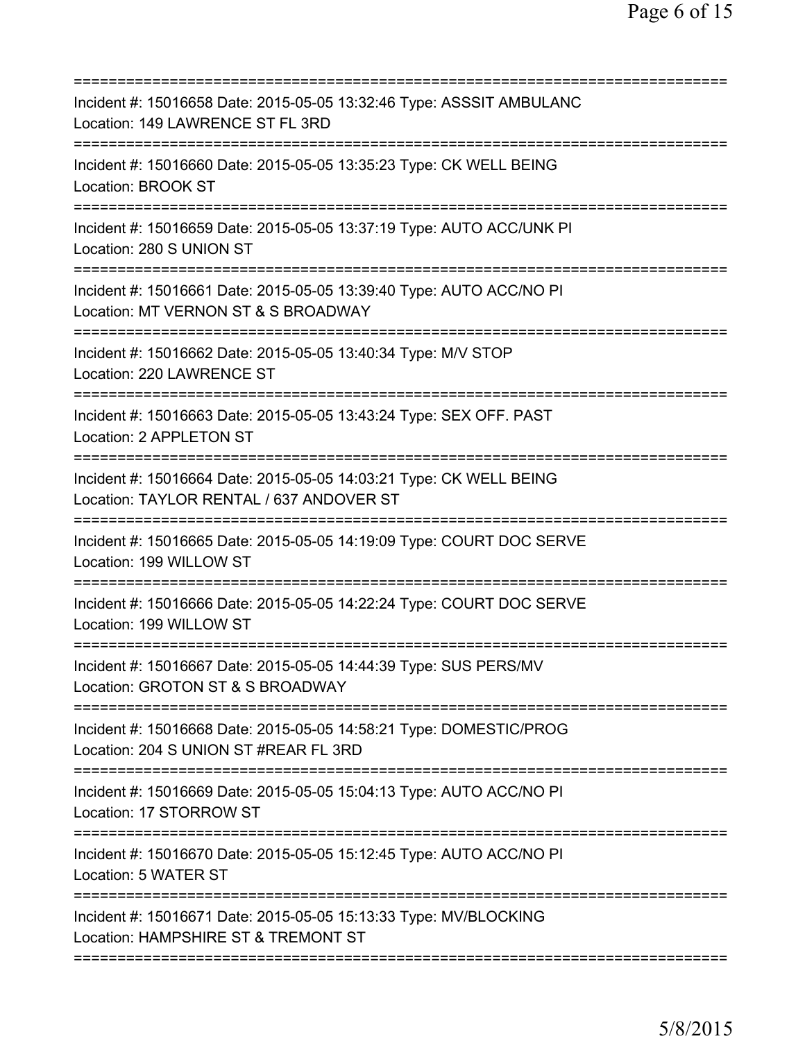| Incident #: 15016658 Date: 2015-05-05 13:32:46 Type: ASSSIT AMBULANC<br>Location: 149 LAWRENCE ST FL 3RD                                               |
|--------------------------------------------------------------------------------------------------------------------------------------------------------|
| Incident #: 15016660 Date: 2015-05-05 13:35:23 Type: CK WELL BEING<br>Location: BROOK ST                                                               |
| Incident #: 15016659 Date: 2015-05-05 13:37:19 Type: AUTO ACC/UNK PI<br>Location: 280 S UNION ST                                                       |
| Incident #: 15016661 Date: 2015-05-05 13:39:40 Type: AUTO ACC/NO PI<br>Location: MT VERNON ST & S BROADWAY<br>============================             |
| Incident #: 15016662 Date: 2015-05-05 13:40:34 Type: M/V STOP<br>Location: 220 LAWRENCE ST                                                             |
| Incident #: 15016663 Date: 2015-05-05 13:43:24 Type: SEX OFF. PAST<br>Location: 2 APPLETON ST                                                          |
| Incident #: 15016664 Date: 2015-05-05 14:03:21 Type: CK WELL BEING<br>Location: TAYLOR RENTAL / 637 ANDOVER ST<br>==================================== |
| Incident #: 15016665 Date: 2015-05-05 14:19:09 Type: COURT DOC SERVE<br>Location: 199 WILLOW ST                                                        |
| Incident #: 15016666 Date: 2015-05-05 14:22:24 Type: COURT DOC SERVE<br>Location: 199 WILLOW ST                                                        |
| Incident #: 15016667 Date: 2015-05-05 14:44:39 Type: SUS PERS/MV<br>Location: GROTON ST & S BROADWAY                                                   |
| Incident #: 15016668 Date: 2015-05-05 14:58:21 Type: DOMESTIC/PROG<br>Location: 204 S UNION ST #REAR FL 3RD                                            |
| Incident #: 15016669 Date: 2015-05-05 15:04:13 Type: AUTO ACC/NO PI<br>Location: 17 STORROW ST                                                         |
| Incident #: 15016670 Date: 2015-05-05 15:12:45 Type: AUTO ACC/NO PI<br>Location: 5 WATER ST                                                            |
| Incident #: 15016671 Date: 2015-05-05 15:13:33 Type: MV/BLOCKING<br>Location: HAMPSHIRE ST & TREMONT ST                                                |
|                                                                                                                                                        |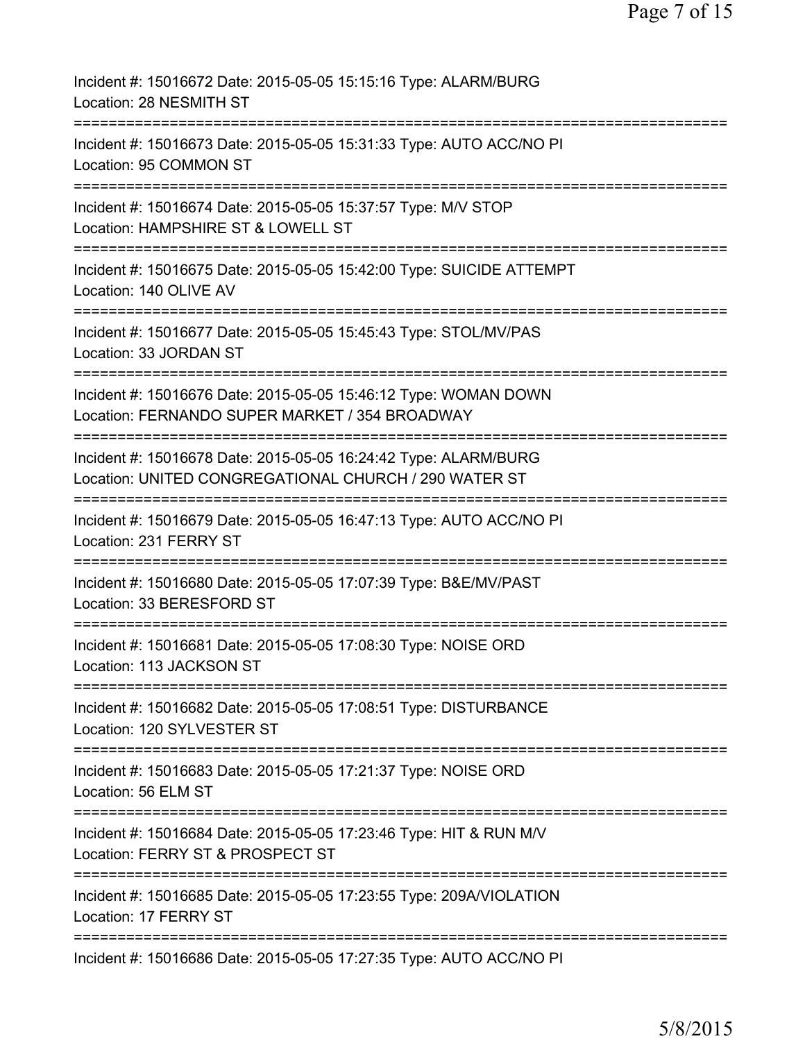| Incident #: 15016672 Date: 2015-05-05 15:15:16 Type: ALARM/BURG<br>Location: 28 NESMITH ST                               |
|--------------------------------------------------------------------------------------------------------------------------|
| Incident #: 15016673 Date: 2015-05-05 15:31:33 Type: AUTO ACC/NO PI<br>Location: 95 COMMON ST                            |
| Incident #: 15016674 Date: 2015-05-05 15:37:57 Type: M/V STOP<br>Location: HAMPSHIRE ST & LOWELL ST                      |
| Incident #: 15016675 Date: 2015-05-05 15:42:00 Type: SUICIDE ATTEMPT<br>Location: 140 OLIVE AV                           |
| Incident #: 15016677 Date: 2015-05-05 15:45:43 Type: STOL/MV/PAS<br>Location: 33 JORDAN ST                               |
| Incident #: 15016676 Date: 2015-05-05 15:46:12 Type: WOMAN DOWN<br>Location: FERNANDO SUPER MARKET / 354 BROADWAY        |
| Incident #: 15016678 Date: 2015-05-05 16:24:42 Type: ALARM/BURG<br>Location: UNITED CONGREGATIONAL CHURCH / 290 WATER ST |
| Incident #: 15016679 Date: 2015-05-05 16:47:13 Type: AUTO ACC/NO PI<br>Location: 231 FERRY ST<br>=====================   |
| Incident #: 15016680 Date: 2015-05-05 17:07:39 Type: B&E/MV/PAST<br>Location: 33 BERESFORD ST                            |
| Incident #: 15016681 Date: 2015-05-05 17:08:30 Type: NOISE ORD<br>Location: 113 JACKSON ST                               |
| Incident #: 15016682 Date: 2015-05-05 17:08:51 Type: DISTURBANCE<br>Location: 120 SYLVESTER ST                           |
| Incident #: 15016683 Date: 2015-05-05 17:21:37 Type: NOISE ORD<br>Location: 56 ELM ST                                    |
| Incident #: 15016684 Date: 2015-05-05 17:23:46 Type: HIT & RUN M/V<br>Location: FERRY ST & PROSPECT ST                   |
| Incident #: 15016685 Date: 2015-05-05 17:23:55 Type: 209A/VIOLATION<br>Location: 17 FERRY ST                             |
| Incident #: 15016686 Date: 2015-05-05 17:27:35 Type: AUTO ACC/NO PI                                                      |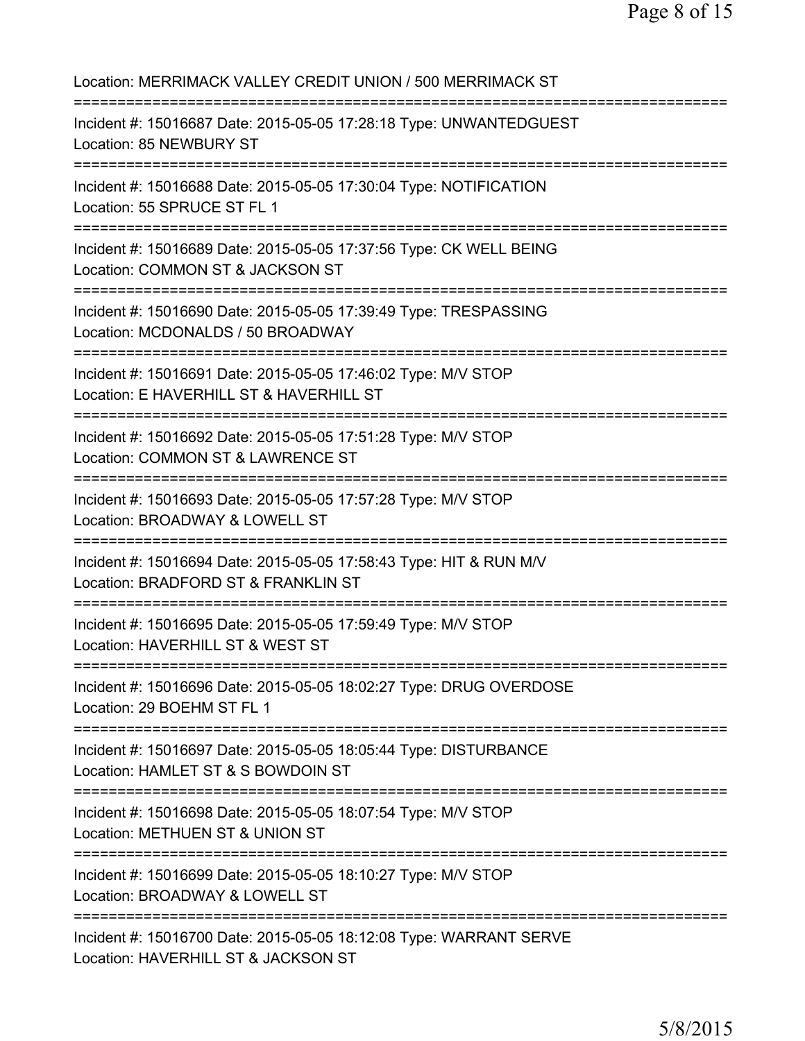| Location: MERRIMACK VALLEY CREDIT UNION / 500 MERRIMACK ST                                                                                      |
|-------------------------------------------------------------------------------------------------------------------------------------------------|
| Incident #: 15016687 Date: 2015-05-05 17:28:18 Type: UNWANTEDGUEST<br>Location: 85 NEWBURY ST                                                   |
| Incident #: 15016688 Date: 2015-05-05 17:30:04 Type: NOTIFICATION<br>Location: 55 SPRUCE ST FL 1                                                |
| Incident #: 15016689 Date: 2015-05-05 17:37:56 Type: CK WELL BEING<br>Location: COMMON ST & JACKSON ST<br>====================================  |
| Incident #: 15016690 Date: 2015-05-05 17:39:49 Type: TRESPASSING<br>Location: MCDONALDS / 50 BROADWAY<br>;===================================   |
| Incident #: 15016691 Date: 2015-05-05 17:46:02 Type: M/V STOP<br>Location: E HAVERHILL ST & HAVERHILL ST<br>=================================== |
| Incident #: 15016692 Date: 2015-05-05 17:51:28 Type: M/V STOP<br>Location: COMMON ST & LAWRENCE ST                                              |
| Incident #: 15016693 Date: 2015-05-05 17:57:28 Type: M/V STOP<br>Location: BROADWAY & LOWELL ST                                                 |
| Incident #: 15016694 Date: 2015-05-05 17:58:43 Type: HIT & RUN M/V<br>Location: BRADFORD ST & FRANKLIN ST                                       |
| Incident #: 15016695 Date: 2015-05-05 17:59:49 Type: M/V STOP<br>Location: HAVERHILL ST & WEST ST                                               |
| ===================================<br>Incident #: 15016696 Date: 2015-05-05 18:02:27 Type: DRUG OVERDOSE<br>Location: 29 BOEHM ST FL 1         |
| Incident #: 15016697 Date: 2015-05-05 18:05:44 Type: DISTURBANCE<br>Location: HAMLET ST & S BOWDOIN ST                                          |
| Incident #: 15016698 Date: 2015-05-05 18:07:54 Type: M/V STOP<br>Location: METHUEN ST & UNION ST                                                |
| Incident #: 15016699 Date: 2015-05-05 18:10:27 Type: M/V STOP<br>Location: BROADWAY & LOWELL ST                                                 |
| Incident #: 15016700 Date: 2015-05-05 18:12:08 Type: WARRANT SERVE<br>Location: HAVERHILL ST & JACKSON ST                                       |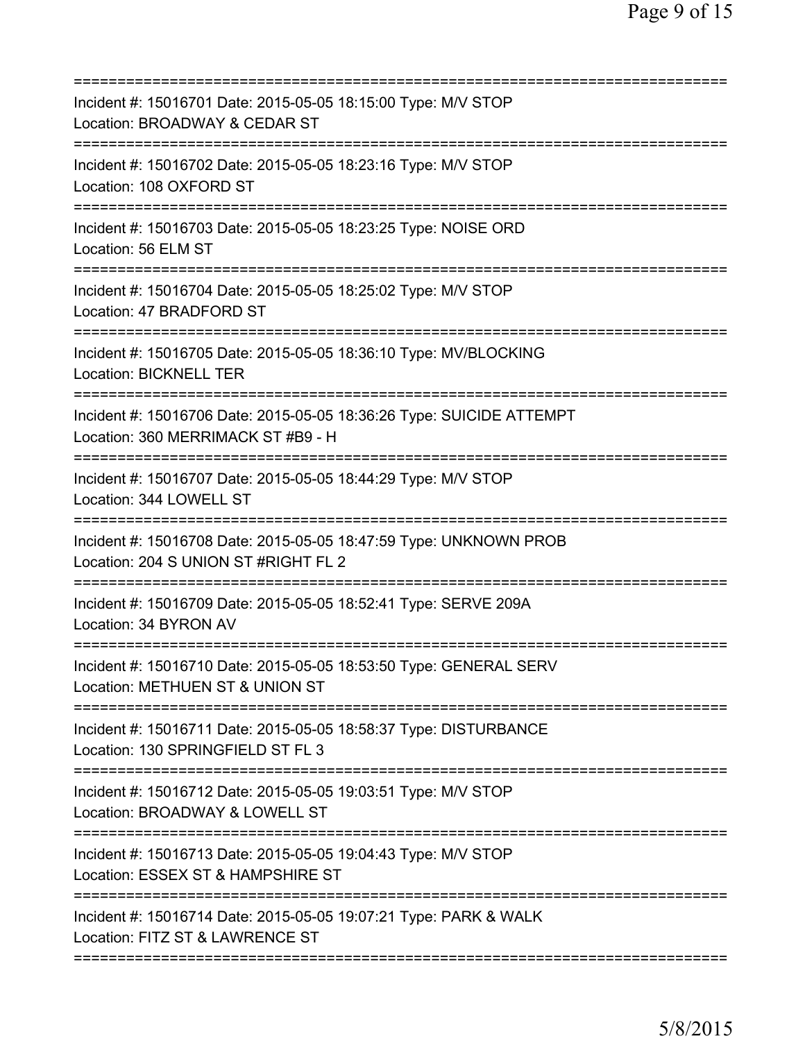| =========================                                                                                                                                 |
|-----------------------------------------------------------------------------------------------------------------------------------------------------------|
| Incident #: 15016701 Date: 2015-05-05 18:15:00 Type: M/V STOP<br>Location: BROADWAY & CEDAR ST                                                            |
| Incident #: 15016702 Date: 2015-05-05 18:23:16 Type: M/V STOP<br>Location: 108 OXFORD ST                                                                  |
| Incident #: 15016703 Date: 2015-05-05 18:23:25 Type: NOISE ORD<br>Location: 56 ELM ST                                                                     |
| Incident #: 15016704 Date: 2015-05-05 18:25:02 Type: M/V STOP<br>Location: 47 BRADFORD ST                                                                 |
| Incident #: 15016705 Date: 2015-05-05 18:36:10 Type: MV/BLOCKING<br><b>Location: BICKNELL TER</b>                                                         |
| Incident #: 15016706 Date: 2015-05-05 18:36:26 Type: SUICIDE ATTEMPT<br>Location: 360 MERRIMACK ST #B9 - H                                                |
| Incident #: 15016707 Date: 2015-05-05 18:44:29 Type: M/V STOP<br>Location: 344 LOWELL ST                                                                  |
| Incident #: 15016708 Date: 2015-05-05 18:47:59 Type: UNKNOWN PROB<br>Location: 204 S UNION ST #RIGHT FL 2                                                 |
| Incident #: 15016709 Date: 2015-05-05 18:52:41 Type: SERVE 209A<br>Location: 34 BYRON AV                                                                  |
| ================<br>Incident #: 15016710 Date: 2015-05-05 18:53:50 Type: GENERAL SERV<br>Location: METHUEN ST & UNION ST                                  |
| Incident #: 15016711 Date: 2015-05-05 18:58:37 Type: DISTURBANCE<br>Location: 130 SPRINGFIELD ST FL 3                                                     |
| Incident #: 15016712 Date: 2015-05-05 19:03:51 Type: M/V STOP<br>Location: BROADWAY & LOWELL ST                                                           |
| Incident #: 15016713 Date: 2015-05-05 19:04:43 Type: M/V STOP<br>Location: ESSEX ST & HAMPSHIRE ST                                                        |
| =============================<br>=================<br>Incident #: 15016714 Date: 2015-05-05 19:07:21 Type: PARK & WALK<br>Location: FITZ ST & LAWRENCE ST |
|                                                                                                                                                           |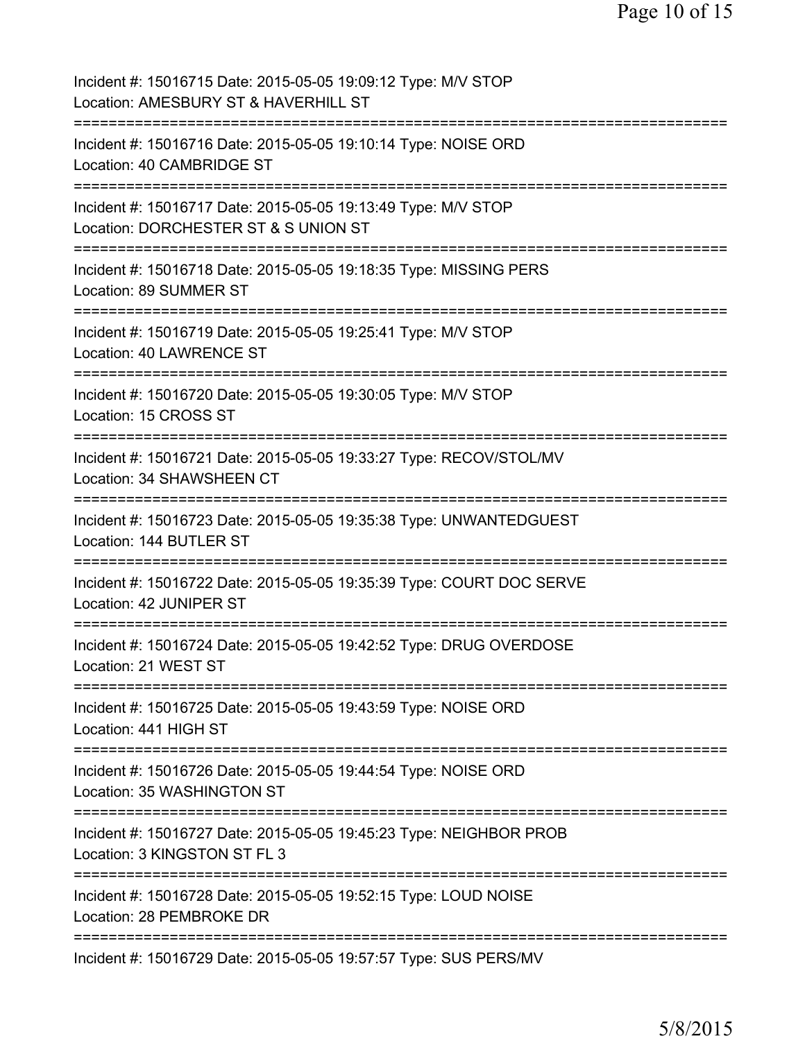| Incident #: 15016715 Date: 2015-05-05 19:09:12 Type: M/V STOP<br>Location: AMESBURY ST & HAVERHILL ST           |
|-----------------------------------------------------------------------------------------------------------------|
| Incident #: 15016716 Date: 2015-05-05 19:10:14 Type: NOISE ORD<br>Location: 40 CAMBRIDGE ST                     |
| Incident #: 15016717 Date: 2015-05-05 19:13:49 Type: M/V STOP<br>Location: DORCHESTER ST & S UNION ST           |
| Incident #: 15016718 Date: 2015-05-05 19:18:35 Type: MISSING PERS<br>Location: 89 SUMMER ST                     |
| Incident #: 15016719 Date: 2015-05-05 19:25:41 Type: M/V STOP<br><b>Location: 40 LAWRENCE ST</b>                |
| Incident #: 15016720 Date: 2015-05-05 19:30:05 Type: M/V STOP<br>Location: 15 CROSS ST                          |
| Incident #: 15016721 Date: 2015-05-05 19:33:27 Type: RECOV/STOL/MV<br>Location: 34 SHAWSHEEN CT                 |
| :============:<br>Incident #: 15016723 Date: 2015-05-05 19:35:38 Type: UNWANTEDGUEST<br>Location: 144 BUTLER ST |
| Incident #: 15016722 Date: 2015-05-05 19:35:39 Type: COURT DOC SERVE<br>Location: 42 JUNIPER ST                 |
| Incident #: 15016724 Date: 2015-05-05 19:42:52 Type: DRUG OVERDOSE<br>Location: 21 WEST ST                      |
| Incident #: 15016725 Date: 2015-05-05 19:43:59 Type: NOISE ORD<br>Location: 441 HIGH ST                         |
| Incident #: 15016726 Date: 2015-05-05 19:44:54 Type: NOISE ORD<br>Location: 35 WASHINGTON ST                    |
| Incident #: 15016727 Date: 2015-05-05 19:45:23 Type: NEIGHBOR PROB<br>Location: 3 KINGSTON ST FL 3              |
| Incident #: 15016728 Date: 2015-05-05 19:52:15 Type: LOUD NOISE<br>Location: 28 PEMBROKE DR                     |
| Incident #: 15016729 Date: 2015-05-05 19:57:57 Type: SUS PERS/MV                                                |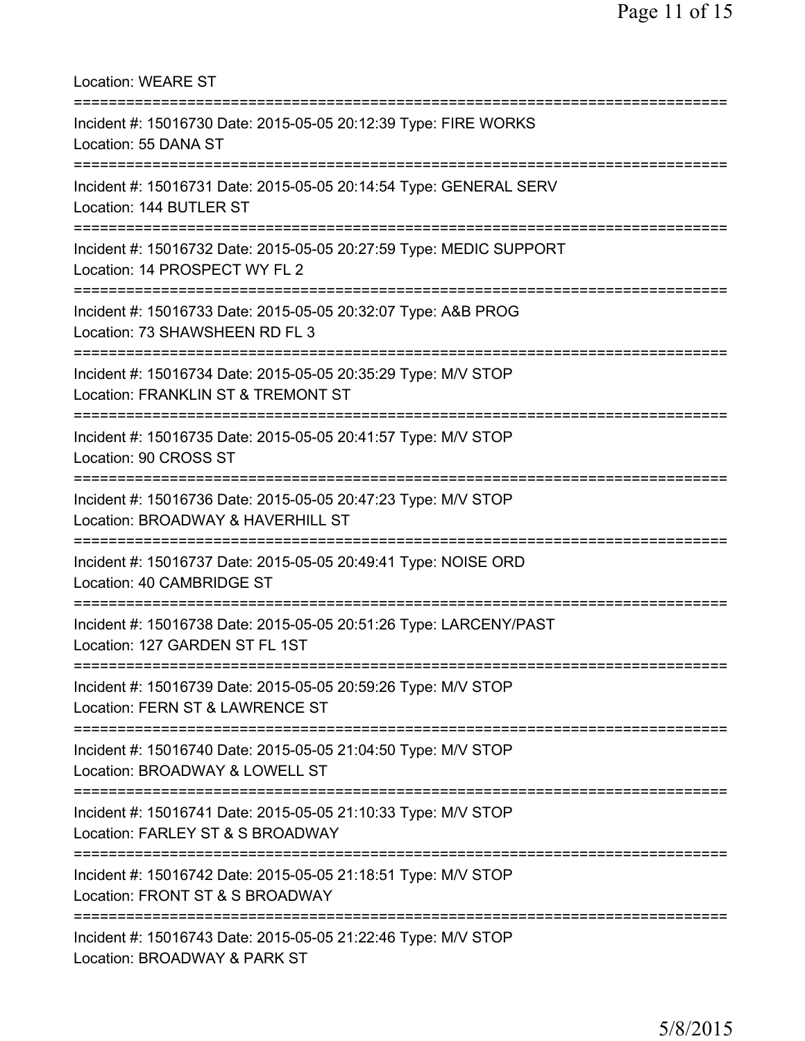| <b>Location: WEARE ST</b>                                                                                                                |
|------------------------------------------------------------------------------------------------------------------------------------------|
| Incident #: 15016730 Date: 2015-05-05 20:12:39 Type: FIRE WORKS<br>Location: 55 DANA ST                                                  |
| Incident #: 15016731 Date: 2015-05-05 20:14:54 Type: GENERAL SERV<br>Location: 144 BUTLER ST                                             |
| Incident #: 15016732 Date: 2015-05-05 20:27:59 Type: MEDIC SUPPORT<br>Location: 14 PROSPECT WY FL 2<br>.================================ |
| Incident #: 15016733 Date: 2015-05-05 20:32:07 Type: A&B PROG<br>Location: 73 SHAWSHEEN RD FL 3                                          |
| Incident #: 15016734 Date: 2015-05-05 20:35:29 Type: M/V STOP<br>Location: FRANKLIN ST & TREMONT ST<br>==============================    |
| Incident #: 15016735 Date: 2015-05-05 20:41:57 Type: M/V STOP<br>Location: 90 CROSS ST                                                   |
| Incident #: 15016736 Date: 2015-05-05 20:47:23 Type: M/V STOP<br>Location: BROADWAY & HAVERHILL ST                                       |
| Incident #: 15016737 Date: 2015-05-05 20:49:41 Type: NOISE ORD<br>Location: 40 CAMBRIDGE ST                                              |
| Incident #: 15016738 Date: 2015-05-05 20:51:26 Type: LARCENY/PAST<br>Location: 127 GARDEN ST FL 1ST                                      |
| =========================<br>Incident #: 15016739 Date: 2015-05-05 20:59:26 Type: M/V STOP<br>Location: FERN ST & LAWRENCE ST            |
| Incident #: 15016740 Date: 2015-05-05 21:04:50 Type: M/V STOP<br>Location: BROADWAY & LOWELL ST                                          |
| Incident #: 15016741 Date: 2015-05-05 21:10:33 Type: M/V STOP<br>Location: FARLEY ST & S BROADWAY                                        |
| =================<br>Incident #: 15016742 Date: 2015-05-05 21:18:51 Type: M/V STOP<br>Location: FRONT ST & S BROADWAY                    |
| ==================<br>Incident #: 15016743 Date: 2015-05-05 21:22:46 Type: M/V STOP<br>Location: BROADWAY & PARK ST                      |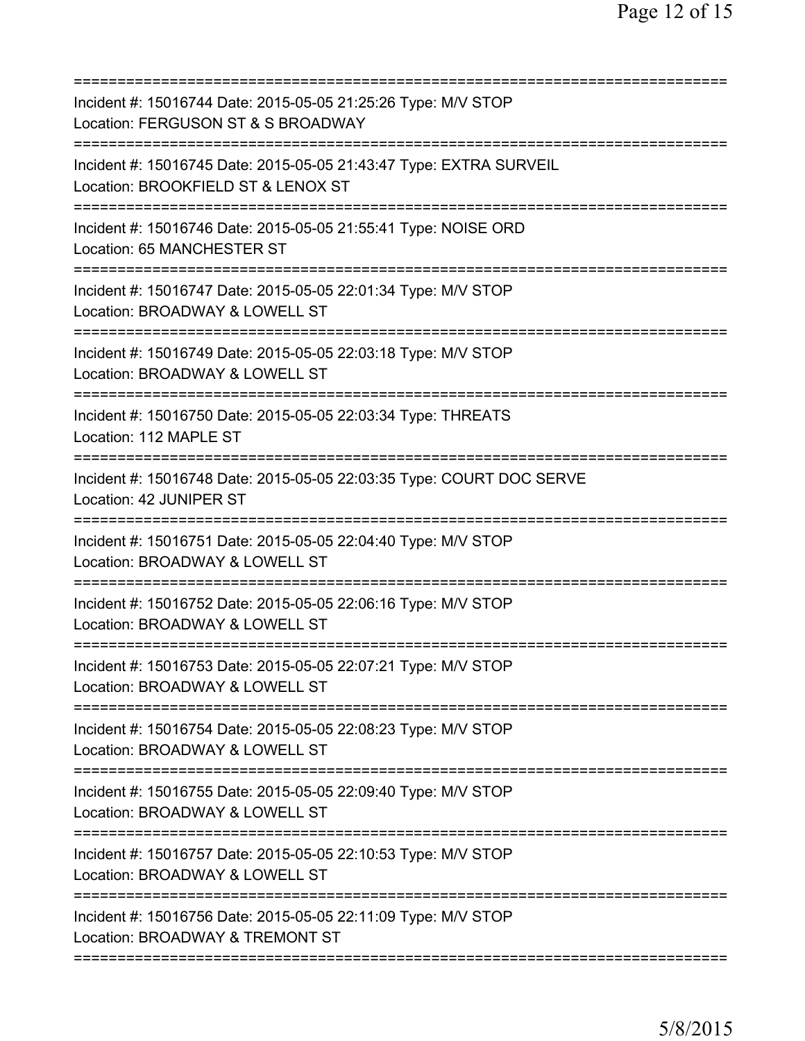| Incident #: 15016744 Date: 2015-05-05 21:25:26 Type: M/V STOP<br>Location: FERGUSON ST & S BROADWAY                            |
|--------------------------------------------------------------------------------------------------------------------------------|
| Incident #: 15016745 Date: 2015-05-05 21:43:47 Type: EXTRA SURVEIL<br>Location: BROOKFIELD ST & LENOX ST                       |
| Incident #: 15016746 Date: 2015-05-05 21:55:41 Type: NOISE ORD<br>Location: 65 MANCHESTER ST                                   |
| Incident #: 15016747 Date: 2015-05-05 22:01:34 Type: M/V STOP<br>Location: BROADWAY & LOWELL ST<br>:========================   |
| Incident #: 15016749 Date: 2015-05-05 22:03:18 Type: M/V STOP<br>Location: BROADWAY & LOWELL ST                                |
| Incident #: 15016750 Date: 2015-05-05 22:03:34 Type: THREATS<br>Location: 112 MAPLE ST                                         |
| Incident #: 15016748 Date: 2015-05-05 22:03:35 Type: COURT DOC SERVE<br>Location: 42 JUNIPER ST                                |
| Incident #: 15016751 Date: 2015-05-05 22:04:40 Type: M/V STOP<br>Location: BROADWAY & LOWELL ST                                |
| Incident #: 15016752 Date: 2015-05-05 22:06:16 Type: M/V STOP<br>Location: BROADWAY & LOWELL ST                                |
| Incident #: 15016753 Date: 2015-05-05 22:07:21 Type: M/V STOP<br>Location: BROADWAY & LOWELL ST                                |
| ===========================<br>Incident #: 15016754 Date: 2015-05-05 22:08:23 Type: M/V STOP<br>Location: BROADWAY & LOWELL ST |
| Incident #: 15016755 Date: 2015-05-05 22:09:40 Type: M/V STOP<br>Location: BROADWAY & LOWELL ST                                |
| Incident #: 15016757 Date: 2015-05-05 22:10:53 Type: M/V STOP<br>Location: BROADWAY & LOWELL ST                                |
| Incident #: 15016756 Date: 2015-05-05 22:11:09 Type: M/V STOP<br>Location: BROADWAY & TREMONT ST                               |
|                                                                                                                                |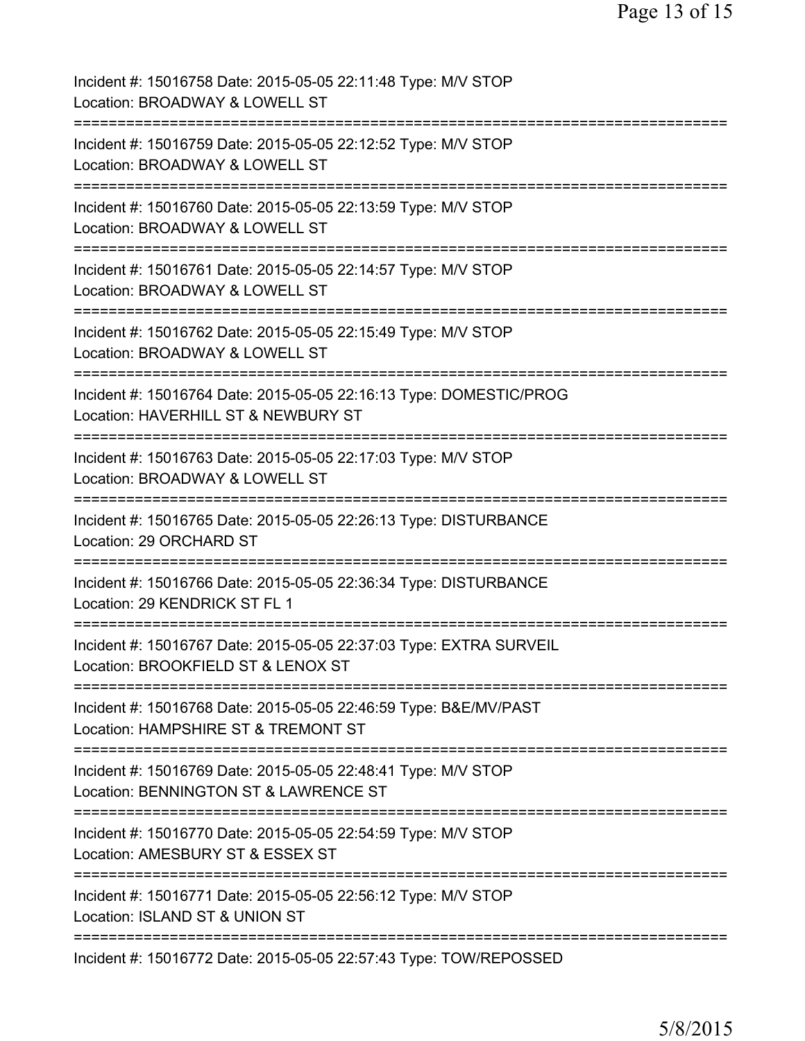| Incident #: 15016758 Date: 2015-05-05 22:11:48 Type: M/V STOP<br>Location: BROADWAY & LOWELL ST                                                                       |
|-----------------------------------------------------------------------------------------------------------------------------------------------------------------------|
| Incident #: 15016759 Date: 2015-05-05 22:12:52 Type: M/V STOP<br>Location: BROADWAY & LOWELL ST                                                                       |
| Incident #: 15016760 Date: 2015-05-05 22:13:59 Type: M/V STOP<br>Location: BROADWAY & LOWELL ST                                                                       |
| Incident #: 15016761 Date: 2015-05-05 22:14:57 Type: M/V STOP<br>Location: BROADWAY & LOWELL ST                                                                       |
| Incident #: 15016762 Date: 2015-05-05 22:15:49 Type: M/V STOP<br>Location: BROADWAY & LOWELL ST                                                                       |
| Incident #: 15016764 Date: 2015-05-05 22:16:13 Type: DOMESTIC/PROG<br>Location: HAVERHILL ST & NEWBURY ST                                                             |
| Incident #: 15016763 Date: 2015-05-05 22:17:03 Type: M/V STOP<br>Location: BROADWAY & LOWELL ST                                                                       |
| Incident #: 15016765 Date: 2015-05-05 22:26:13 Type: DISTURBANCE<br>Location: 29 ORCHARD ST                                                                           |
| Incident #: 15016766 Date: 2015-05-05 22:36:34 Type: DISTURBANCE<br>Location: 29 KENDRICK ST FL 1                                                                     |
| Incident #: 15016767 Date: 2015-05-05 22:37:03 Type: EXTRA SURVEIL<br>Location: BROOKFIELD ST & LENOX ST                                                              |
| Incident #: 15016768 Date: 2015-05-05 22:46:59 Type: B&E/MV/PAST<br>Location: HAMPSHIRE ST & TREMONT ST                                                               |
| Incident #: 15016769 Date: 2015-05-05 22:48:41 Type: M/V STOP<br>Location: BENNINGTON ST & LAWRENCE ST<br>============================<br>=========================== |
| Incident #: 15016770 Date: 2015-05-05 22:54:59 Type: M/V STOP<br>Location: AMESBURY ST & ESSEX ST                                                                     |
| Incident #: 15016771 Date: 2015-05-05 22:56:12 Type: M/V STOP<br>Location: ISLAND ST & UNION ST                                                                       |
| Incident #: 15016772 Date: 2015-05-05 22:57:43 Type: TOW/REPOSSED                                                                                                     |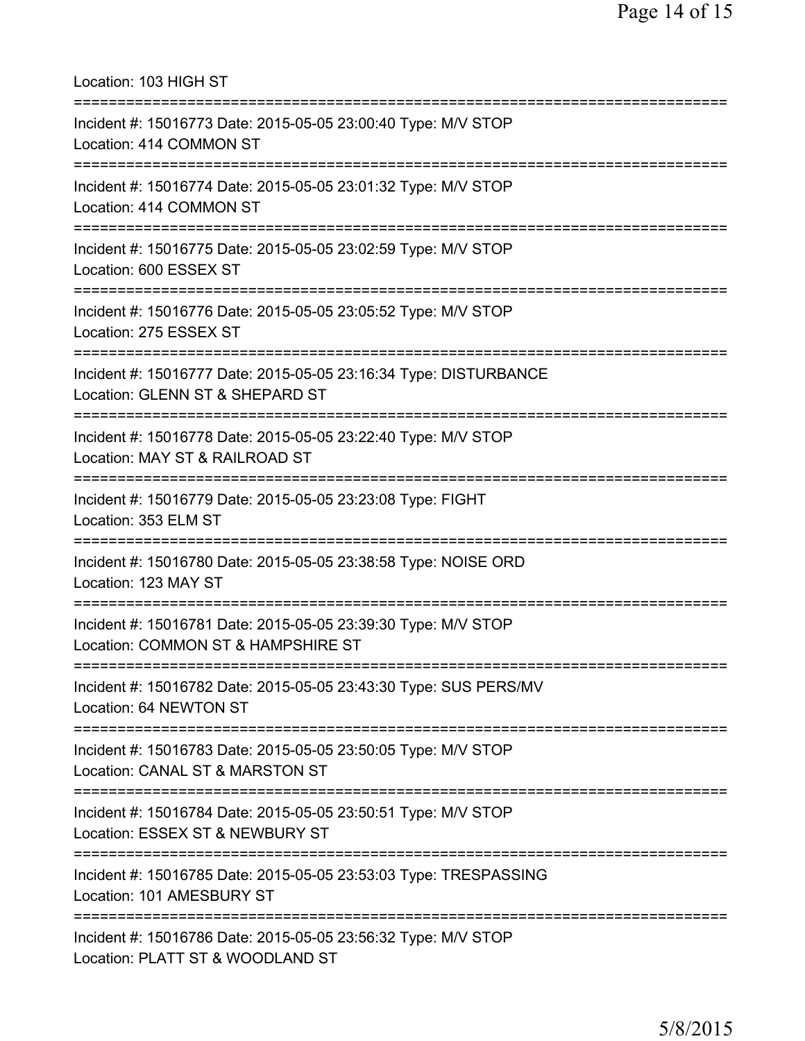Location: 103 HIGH ST =========================================================================== Incident #: 15016773 Date: 2015-05-05 23:00:40 Type: M/V STOP Location: 414 COMMON ST =========================================================================== Incident #: 15016774 Date: 2015-05-05 23:01:32 Type: M/V STOP Location: 414 COMMON ST =========================================================================== Incident #: 15016775 Date: 2015-05-05 23:02:59 Type: M/V STOP Location: 600 ESSEX ST =========================================================================== Incident #: 15016776 Date: 2015-05-05 23:05:52 Type: M/V STOP Location: 275 ESSEX ST =========================================================================== Incident #: 15016777 Date: 2015-05-05 23:16:34 Type: DISTURBANCE Location: GLENN ST & SHEPARD ST =========================================================================== Incident #: 15016778 Date: 2015-05-05 23:22:40 Type: M/V STOP Location: MAY ST & RAILROAD ST =========================================================================== Incident #: 15016779 Date: 2015-05-05 23:23:08 Type: FIGHT Location: 353 ELM ST =========================================================================== Incident #: 15016780 Date: 2015-05-05 23:38:58 Type: NOISE ORD Location: 123 MAY ST =========================================================================== Incident #: 15016781 Date: 2015-05-05 23:39:30 Type: M/V STOP Location: COMMON ST & HAMPSHIRE ST =========================================================================== Incident #: 15016782 Date: 2015-05-05 23:43:30 Type: SUS PERS/MV Location: 64 NEWTON ST =========================================================================== Incident #: 15016783 Date: 2015-05-05 23:50:05 Type: M/V STOP Location: CANAL ST & MARSTON ST =========================================================================== Incident #: 15016784 Date: 2015-05-05 23:50:51 Type: M/V STOP Location: ESSEX ST & NEWBURY ST =========================================================================== Incident #: 15016785 Date: 2015-05-05 23:53:03 Type: TRESPASSING Location: 101 AMESBURY ST =========================================================================== Incident #: 15016786 Date: 2015-05-05 23:56:32 Type: M/V STOP Location: PLATT ST & WOODLAND ST